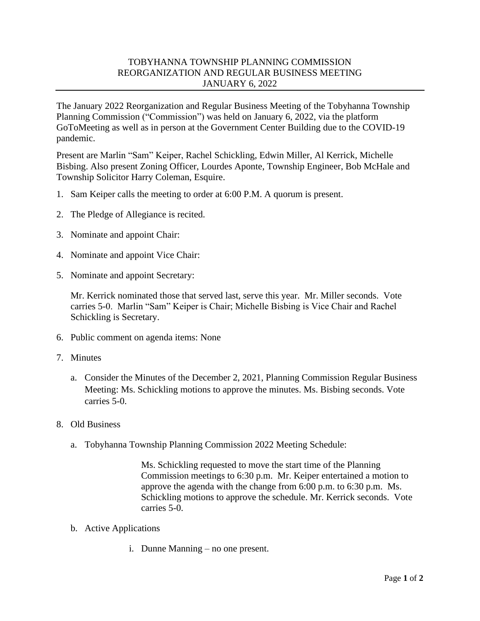## TOBYHANNA TOWNSHIP PLANNING COMMISSION REORGANIZATION AND REGULAR BUSINESS MEETING JANUARY 6, 2022

The January 2022 Reorganization and Regular Business Meeting of the Tobyhanna Township Planning Commission ("Commission") was held on January 6, 2022, via the platform GoToMeeting as well as in person at the Government Center Building due to the COVID-19 pandemic.

Present are Marlin "Sam" Keiper, Rachel Schickling, Edwin Miller, Al Kerrick, Michelle Bisbing. Also present Zoning Officer, Lourdes Aponte, Township Engineer, Bob McHale and Township Solicitor Harry Coleman, Esquire.

- 1. Sam Keiper calls the meeting to order at 6:00 P.M. A quorum is present.
- 2. The Pledge of Allegiance is recited.
- 3. Nominate and appoint Chair:
- 4. Nominate and appoint Vice Chair:
- 5. Nominate and appoint Secretary:

Mr. Kerrick nominated those that served last, serve this year. Mr. Miller seconds. Vote carries 5-0. Marlin "Sam" Keiper is Chair; Michelle Bisbing is Vice Chair and Rachel Schickling is Secretary.

- 6. Public comment on agenda items: None
- 7. Minutes
	- a. Consider the Minutes of the December 2, 2021, Planning Commission Regular Business Meeting: Ms. Schickling motions to approve the minutes. Ms. Bisbing seconds. Vote carries 5-0.
- 8. Old Business
	- a. Tobyhanna Township Planning Commission 2022 Meeting Schedule:

Ms. Schickling requested to move the start time of the Planning Commission meetings to 6:30 p.m. Mr. Keiper entertained a motion to approve the agenda with the change from 6:00 p.m. to 6:30 p.m. Ms. Schickling motions to approve the schedule. Mr. Kerrick seconds. Vote carries 5-0.

- b. Active Applications
	- i. Dunne Manning no one present.